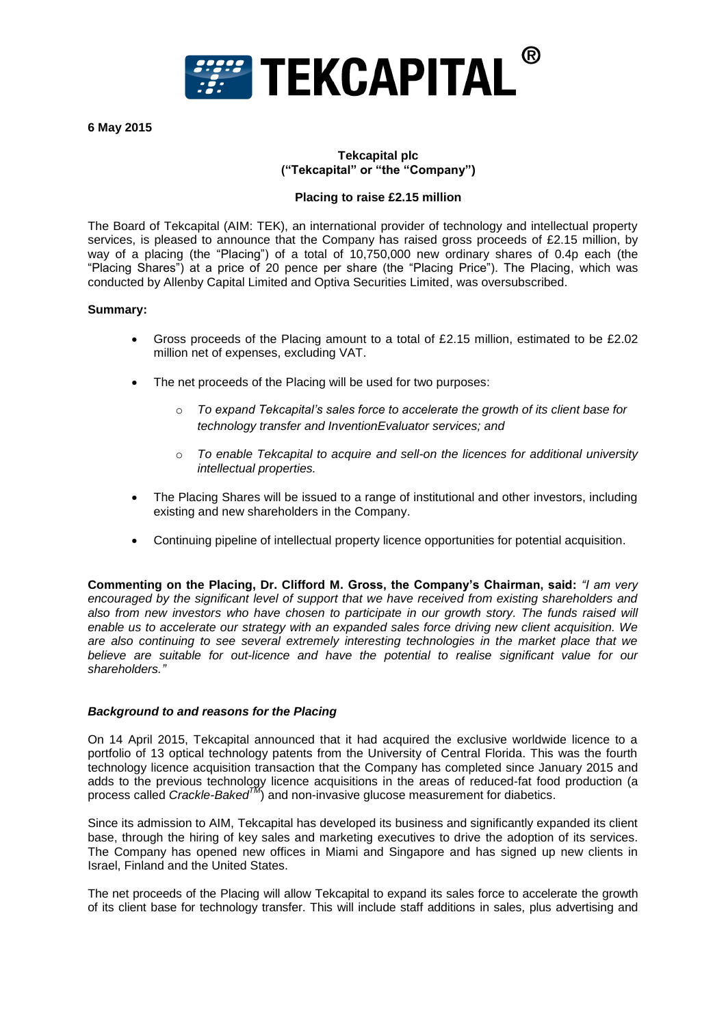

**6 May 2015** 

### **Tekcapital plc ("Tekcapital" or "the "Company")**

#### **Placing to raise £2.15 million**

The Board of Tekcapital (AIM: TEK), an international provider of technology and intellectual property services, is pleased to announce that the Company has raised gross proceeds of £2.15 million, by way of a placing (the "Placing") of a total of 10,750,000 new ordinary shares of 0.4p each (the "Placing Shares") at a price of 20 pence per share (the "Placing Price"). The Placing, which was conducted by Allenby Capital Limited and Optiva Securities Limited, was oversubscribed.

#### **Summary:**

- Gross proceeds of the Placing amount to a total of £2.15 million, estimated to be £2.02 million net of expenses, excluding VAT.
- The net proceeds of the Placing will be used for two purposes:
	- o *To expand Tekcapital's sales force to accelerate the growth of its client base for technology transfer and InventionEvaluator services; and*
	- o *To enable Tekcapital to acquire and sell-on the licences for additional university intellectual properties.*
- The Placing Shares will be issued to a range of institutional and other investors, including existing and new shareholders in the Company.
- Continuing pipeline of intellectual property licence opportunities for potential acquisition.

**Commenting on the Placing, Dr. Clifford M. Gross, the Company's Chairman, said:** *"I am very encouraged by the significant level of support that we have received from existing shareholders and also from new investors who have chosen to participate in our growth story. The funds raised will enable us to accelerate our strategy with an expanded sales force driving new client acquisition. We are also continuing to see several extremely interesting technologies in the market place that we believe are suitable for out-licence and have the potential to realise significant value for our shareholders."*

#### *Background to and reasons for the Placing*

On 14 April 2015, Tekcapital announced that it had acquired the exclusive worldwide licence to a portfolio of 13 optical technology patents from the University of Central Florida. This was the fourth technology licence acquisition transaction that the Company has completed since January 2015 and adds to the previous technology licence acquisitions in the areas of reduced-fat food production (a process called *Crackle-BakedTM*) and non-invasive glucose measurement for diabetics.

Since its admission to AIM, Tekcapital has developed its business and significantly expanded its client base, through the hiring of key sales and marketing executives to drive the adoption of its services. The Company has opened new offices in Miami and Singapore and has signed up new clients in Israel, Finland and the United States.

The net proceeds of the Placing will allow Tekcapital to expand its sales force to accelerate the growth of its client base for technology transfer. This will include staff additions in sales, plus advertising and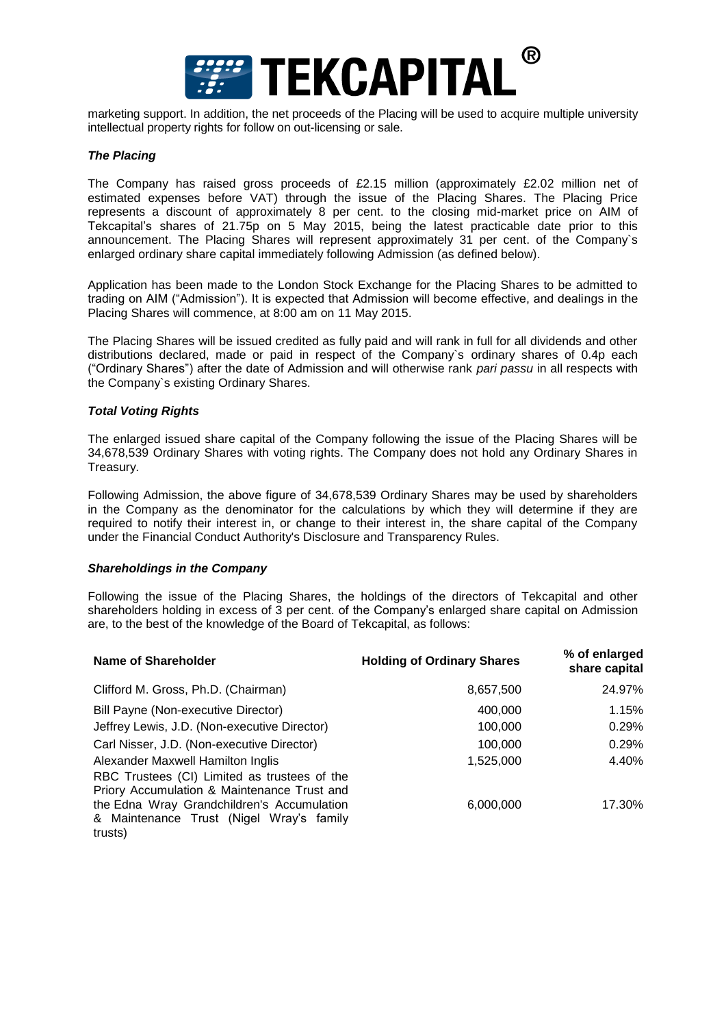

marketing support. In addition, the net proceeds of the Placing will be used to acquire multiple university intellectual property rights for follow on out-licensing or sale.

#### *The Placing*

The Company has raised gross proceeds of £2.15 million (approximately £2.02 million net of estimated expenses before VAT) through the issue of the Placing Shares. The Placing Price represents a discount of approximately 8 per cent. to the closing mid-market price on AIM of Tekcapital's shares of 21.75p on 5 May 2015, being the latest practicable date prior to this announcement. The Placing Shares will represent approximately 31 per cent. of the Company`s enlarged ordinary share capital immediately following Admission (as defined below).

Application has been made to the London Stock Exchange for the Placing Shares to be admitted to trading on AIM ("Admission"). It is expected that Admission will become effective, and dealings in the Placing Shares will commence, at 8:00 am on 11 May 2015.

The Placing Shares will be issued credited as fully paid and will rank in full for all dividends and other distributions declared, made or paid in respect of the Company`s ordinary shares of 0.4p each ("Ordinary Shares") after the date of Admission and will otherwise rank *pari passu* in all respects with the Company`s existing Ordinary Shares.

#### *Total Voting Rights*

The enlarged issued share capital of the Company following the issue of the Placing Shares will be 34,678,539 Ordinary Shares with voting rights. The Company does not hold any Ordinary Shares in Treasury.

Following Admission, the above figure of 34,678,539 Ordinary Shares may be used by shareholders in the Company as the denominator for the calculations by which they will determine if they are required to notify their interest in, or change to their interest in, the share capital of the Company under the Financial Conduct Authority's Disclosure and Transparency Rules.

#### *Shareholdings in the Company*

Following the issue of the Placing Shares, the holdings of the directors of Tekcapital and other shareholders holding in excess of 3 per cent. of the Company's enlarged share capital on Admission are, to the best of the knowledge of the Board of Tekcapital, as follows:

| <b>Name of Shareholder</b>                                                                                                       | <b>Holding of Ordinary Shares</b> | % of enlarged<br>share capital |
|----------------------------------------------------------------------------------------------------------------------------------|-----------------------------------|--------------------------------|
| Clifford M. Gross, Ph.D. (Chairman)                                                                                              | 8,657,500                         | 24.97%                         |
| Bill Payne (Non-executive Director)                                                                                              | 400,000                           | 1.15%                          |
| Jeffrey Lewis, J.D. (Non-executive Director)                                                                                     | 100,000                           | 0.29%                          |
| Carl Nisser, J.D. (Non-executive Director)                                                                                       | 100.000                           | 0.29%                          |
| Alexander Maxwell Hamilton Inglis<br>RBC Trustees (CI) Limited as trustees of the<br>Priory Accumulation & Maintenance Trust and | 1,525,000                         | 4.40%                          |
| the Edna Wray Grandchildren's Accumulation<br>& Maintenance Trust (Nigel Wray's family<br>trusts)                                | 6,000,000                         | 17.30%                         |